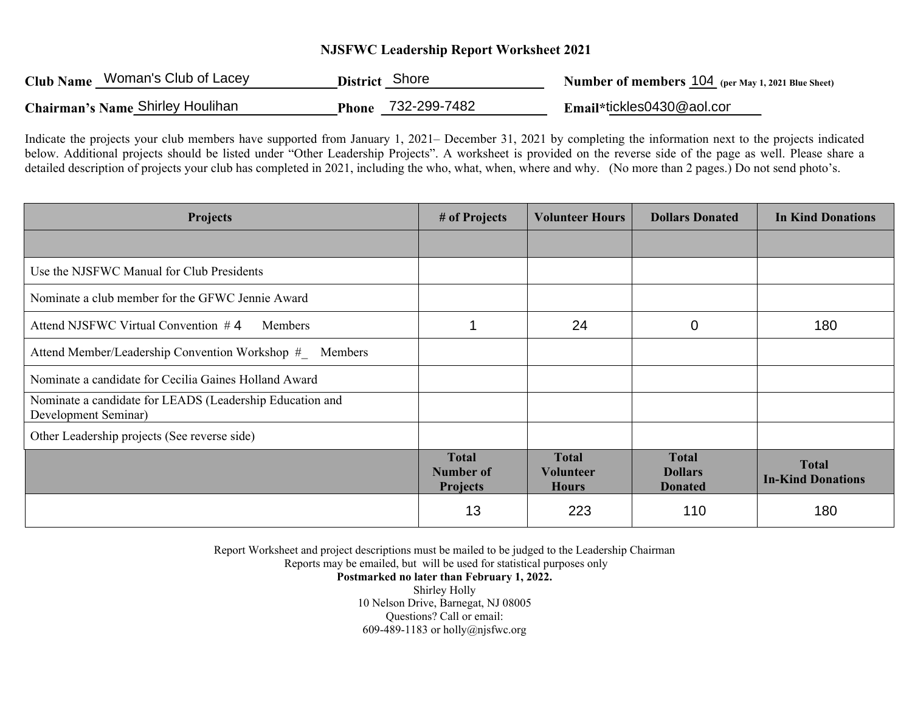## **NJSFWC Leadership Report Worksheet 2021**

| Club Name Woman's Club of Lacey  | District Shore               | <b>Number of members 104</b> (per May 1, 2021 Blue Sheet) |
|----------------------------------|------------------------------|-----------------------------------------------------------|
| Chairman's Name Shirley Houlihan | 732-299-7482<br><b>Phone</b> | $Email*$ tickles0430@aol.cor                              |

Indicate the projects your club members have supported from January 1, 2021– December 31, 2021 by completing the information next to the projects indicated below. Additional projects should be listed under "Other Leadership Projects". A worksheet is provided on the reverse side of the page as well. Please share a detailed description of projects your club has completed in 2021, including the who, what, when, where and why. (No more than 2 pages.) Do not send photo's.

| Projects                                                                         | # of Projects                                | <b>Volunteer Hours</b>                    | <b>Dollars Donated</b>                           | <b>In Kind Donations</b>                 |
|----------------------------------------------------------------------------------|----------------------------------------------|-------------------------------------------|--------------------------------------------------|------------------------------------------|
|                                                                                  |                                              |                                           |                                                  |                                          |
| Use the NJSFWC Manual for Club Presidents                                        |                                              |                                           |                                                  |                                          |
| Nominate a club member for the GFWC Jennie Award                                 |                                              |                                           |                                                  |                                          |
| Attend NJSFWC Virtual Convention #4<br>Members                                   | 1                                            | 24                                        | $\mathbf 0$                                      | 180                                      |
| Attend Member/Leadership Convention Workshop # Members                           |                                              |                                           |                                                  |                                          |
| Nominate a candidate for Cecilia Gaines Holland Award                            |                                              |                                           |                                                  |                                          |
| Nominate a candidate for LEADS (Leadership Education and<br>Development Seminar) |                                              |                                           |                                                  |                                          |
| Other Leadership projects (See reverse side)                                     |                                              |                                           |                                                  |                                          |
|                                                                                  | <b>Total</b><br>Number of<br><b>Projects</b> | <b>Total</b><br>Volunteer<br><b>Hours</b> | <b>Total</b><br><b>Dollars</b><br><b>Donated</b> | <b>Total</b><br><b>In-Kind Donations</b> |
|                                                                                  | 13                                           | 223                                       | 110                                              | 180                                      |

Report Worksheet and project descriptions must be mailed to be judged to the Leadership Chairman

Reports may be emailed, but will be used for statistical purposes only

**Postmarked no later than February 1, 2022.**  Shirley Holly 10 Nelson Drive, Barnegat, NJ 08005 Questions? Call or email: 609-489-1183 or holly@njsfwc.org